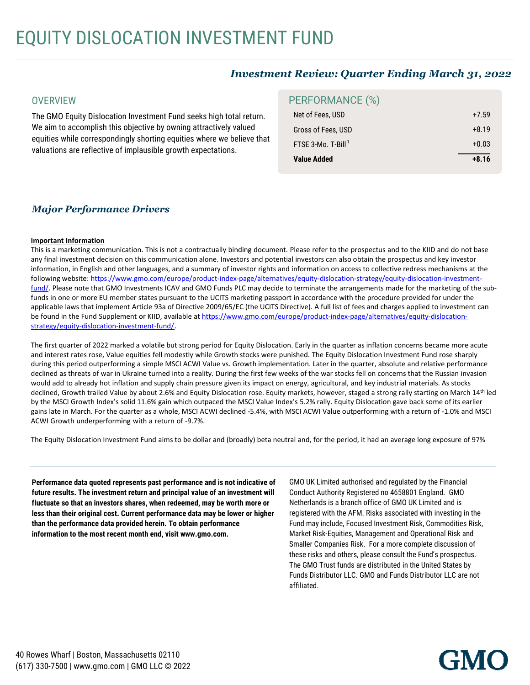# *Investment Review: Quarter Ending March 31, 2022*

#### **OVERVIEW**

The GMO Equity Dislocation Investment Fund seeks high total return. We aim to accomplish this objective by owning attractively valued equities while correspondingly shorting equities where we believe that valuations are reflective of implausible growth expectations.

## PERFORMANCE (%)

| <b>Value Added</b>             |         |
|--------------------------------|---------|
| FTSE 3-Mo. T-Bill <sup>1</sup> | $+0.03$ |
| Gross of Fees, USD             | $+8.19$ |
| Net of Fees, USD               | $+7.59$ |

### *Major Performance Drivers*

#### **Important Information**

This is a marketing communication. This is not a contractually binding document. Please refer to the prospectus and to the KIID and do not base any final investment decision on this communication alone. Investors and potential investors can also obtain the prospectus and key investor information, in English and other languages, and a summary of investor rights and information on access to collective redress mechanisms at the following website: https://www.gmo.com/europe/product-index-page/alternatives/equity-dislocation-strategy/equity-dislocation-investmentfund/. Please note that GMO Investments ICAV and GMO Funds PLC may decide to terminate the arrangements made for the marketing of the subfunds in one or more EU member states pursuant to the UCITS marketing passport in accordance with the procedure provided for under the applicable laws that implement Article 93a of Directive 2009/65/EC (the UCITS Directive). A full list of fees and charges applied to investment can be found in the Fund Supplement or KIID, available at https://www.gmo.com/europe/product-index-page/alternatives/equity-dislocationstrategy/equity-dislocation-investment-fund/.

The first quarter of 2022 marked a volatile but strong period for Equity Dislocation. Early in the quarter as inflation concerns became more acute and interest rates rose, Value equities fell modestly while Growth stocks were punished. The Equity Dislocation Investment Fund rose sharply during this period outperforming a simple MSCI ACWI Value vs. Growth implementation. Later in the quarter, absolute and relative performance declined as threats of war in Ukraine turned into a reality. During the first few weeks of the war stocks fell on concerns that the Russian invasion would add to already hot inflation and supply chain pressure given its impact on energy, agricultural, and key industrial materials. As stocks declined, Growth trailed Value by about 2.6% and Equity Dislocation rose. Equity markets, however, staged a strong rally starting on March 14th led by the MSCI Growth Index's solid 11.6% gain which outpaced the MSCI Value Index's 5.2% rally. Equity Dislocation gave back some of its earlier gains late in March. For the quarter as a whole, MSCI ACWI declined -5.4%, with MSCI ACWI Value outperforming with a return of -1.0% and MSCI ACWI Growth underperforming with a return of -9.7%.

The Equity Dislocation Investment Fund aims to be dollar and (broadly) beta neutral and, for the period, it had an average long exposure of 97%

**Performance data quoted represents past performance and is not indicative of future results. The investment return and principal value of an investment will fluctuate so that an investors shares, when redeemed, may be worth more or less than their original cost. Current performance data may be lower or higher than the performance data provided herein. To obtain performance information to the most recent month end, visit www.gmo.com.**

GMO UK Limited authorised and regulated by the Financial Conduct Authority Registered no 4658801 England. GMO Netherlands is a branch office of GMO UK Limited and is registered with the AFM. Risks associated with investing in the Fund may include, Focused Investment Risk, Commodities Risk,<br>Market Risk-Equities, Management and Operational Risk and Market Risk-Equities, Management and Operational Risk and Smaller Companies Risk. For a more complete discussion of these risks and others, please consult the Fund's prospectus. The GMO Trust funds are distributed in the United States by Funds Distributor LLC. GMO and Funds Distributor LLC are not income of which is subject to U.S. federal income tax regardless of the U.S. federal income tax regardless of the U.S. federal income tax regardless of the U.S. federal income tax regardless of the U.S. federal income tax